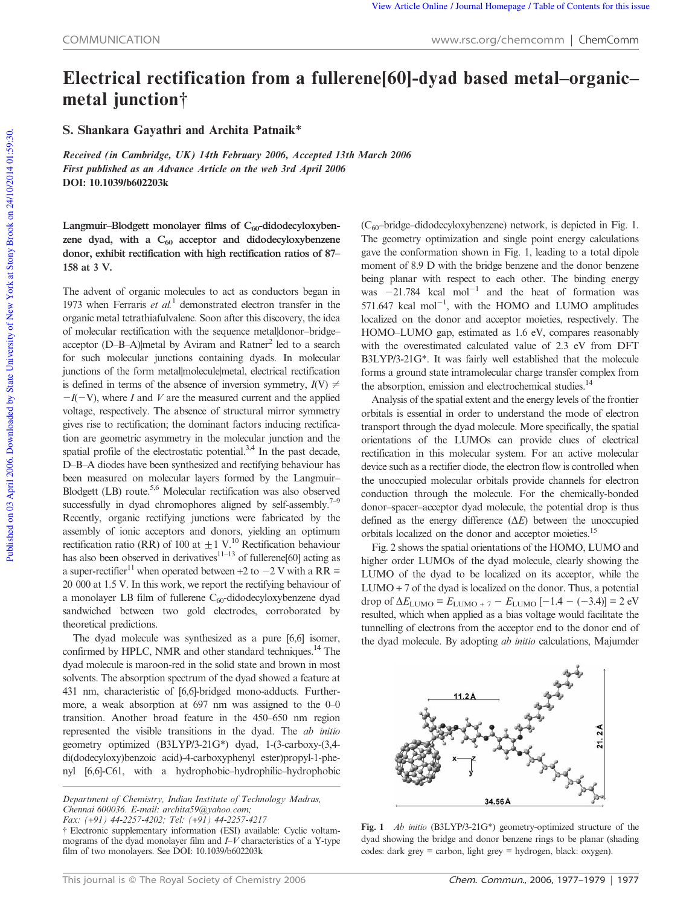## Electrical rectification from a fullerene[60]-dyad based metal–organic– metal junction<sup>†</sup>

S. Shankara Gayathri and Archita Patnaik\*

Received (in Cambridge, UK) 14th February 2006, Accepted 13th March 2006 First published as an Advance Article on the web 3rd April 2006 DOI: 10.1039/b602203k

Langmuir-Blodgett monolayer films of C<sub>60</sub>-didodecyloxybenzene dyad, with a  $C_{60}$  acceptor and didodecyloxybenzene donor, exhibit rectification with high rectification ratios of 87– 158 at 3 V.

The advent of organic molecules to act as conductors began in 1973 when Ferraris *et al.*<sup>1</sup> demonstrated electron transfer in the organic metal tetrathiafulvalene. Soon after this discovery, the idea of molecular rectification with the sequence metal|donor–bridge– acceptor (D-B-A) metal by Aviram and Ratner<sup>2</sup> led to a search for such molecular junctions containing dyads. In molecular junctions of the form metal|molecule|metal, electrical rectification is defined in terms of the absence of inversion symmetry,  $I(V) \neq$  $-I(-V)$ , where *I* and *V* are the measured current and the applied voltage, respectively. The absence of structural mirror symmetry gives rise to rectification; the dominant factors inducing rectification are geometric asymmetry in the molecular junction and the spatial profile of the electrostatic potential. $3,4$  In the past decade, D–B–A diodes have been synthesized and rectifying behaviour has been measured on molecular layers formed by the Langmuir– Blodgett (LB) route.5,6 Molecular rectification was also observed successfully in dyad chromophores aligned by self-assembly.<sup>7–9</sup> Recently, organic rectifying junctions were fabricated by the assembly of ionic acceptors and donors, yielding an optimum rectification ratio (RR) of 100 at  $\pm$  1 V.<sup>10</sup> Rectification behaviour has also been observed in derivatives<sup>11–13</sup> of fullerene[60] acting as a super-rectifier<sup>11</sup> when operated between +2 to  $-2$  V with a RR = 20 000 at 1.5 V. In this work, we report the rectifying behaviour of a monolayer LB film of fullerene  $C_{60}$ -didodecyloxybenzene dyad sandwiched between two gold electrodes, corroborated by theoretical predictions.

The dyad molecule was synthesized as a pure [6,6] isomer, confirmed by HPLC, NMR and other standard techniques.<sup>14</sup> The dyad molecule is maroon-red in the solid state and brown in most solvents. The absorption spectrum of the dyad showed a feature at 431 nm, characteristic of [6,6]-bridged mono-adducts. Furthermore, a weak absorption at 697 nm was assigned to the 0–0 transition. Another broad feature in the 450–650 nm region represented the visible transitions in the dyad. The *ab initio* geometry optimized (B3LYP/3-21G\*) dyad, 1-(3-carboxy-(3,4 di(dodecyloxy)benzoic acid)-4-carboxyphenyl ester)propyl-1-phenyl [6,6]-C61, with a hydrophobic–hydrophilic–hydrophobic

*Fax: (*+*91) 44-2257-4202; Tel: (*+*91) 44-2257-4217*

 $(C_{60}$ -bridge-didodecyloxybenzene) network, is depicted in Fig. 1. The geometry optimization and single point energy calculations gave the conformation shown in Fig. 1, leading to a total dipole moment of 8.9 D with the bridge benzene and the donor benzene being planar with respect to each other. The binding energy was  $-21.784$  kcal mol<sup>-1</sup> and the heat of formation was 571.647 kcal  $mol^{-1}$ , with the HOMO and LUMO amplitudes localized on the donor and acceptor moieties, respectively. The HOMO–LUMO gap, estimated as 1.6 eV, compares reasonably with the overestimated calculated value of 2.3 eV from DFT B3LYP/3-21G\*. It was fairly well established that the molecule forms a ground state intramolecular charge transfer complex from the absorption, emission and electrochemical studies.<sup>14</sup>

Analysis of the spatial extent and the energy levels of the frontier orbitals is essential in order to understand the mode of electron transport through the dyad molecule. More specifically, the spatial orientations of the LUMOs can provide clues of electrical rectification in this molecular system. For an active molecular device such as a rectifier diode, the electron flow is controlled when the unoccupied molecular orbitals provide channels for electron conduction through the molecule. For the chemically-bonded donor–spacer–acceptor dyad molecule, the potential drop is thus defined as the energy difference  $(\Delta E)$  between the unoccupied orbitals localized on the donor and acceptor moieties.<sup>15</sup>

Fig. 2 shows the spatial orientations of the HOMO, LUMO and higher order LUMOs of the dyad molecule, clearly showing the LUMO of the dyad to be localized on its acceptor, while the  $LUMO + 7$  of the dyad is localized on the donor. Thus, a potential drop of  $\Delta E_{\text{LUMO}} = E_{\text{LUMO} + 7} - E_{\text{LUMO}} [-1.4 - (-3.4)] = 2 \text{ eV}$ resulted, which when applied as a bias voltage would facilitate the tunnelling of electrons from the acceptor end to the donor end of the dyad molecule. By adopting *ab initio* calculations, Majumder



Fig. 1 *Ab initio* (B3LYP/3-21G\*) geometry-optimized structure of the dyad showing the bridge and donor benzene rings to be planar (shading codes: dark grey = carbon, light grey = hydrogen, black: oxygen).

*Department of Chemistry, Indian Institute of Technology Madras, Chennai 600036. E-mail: archita59@yahoo.com;*

<sup>{</sup> Electronic supplementary information (ESI) available: Cyclic voltammograms of the dyad monolayer film and *I*–*V* characteristics of a Y-type film of two monolayers. See DOI: 10.1039/b602203k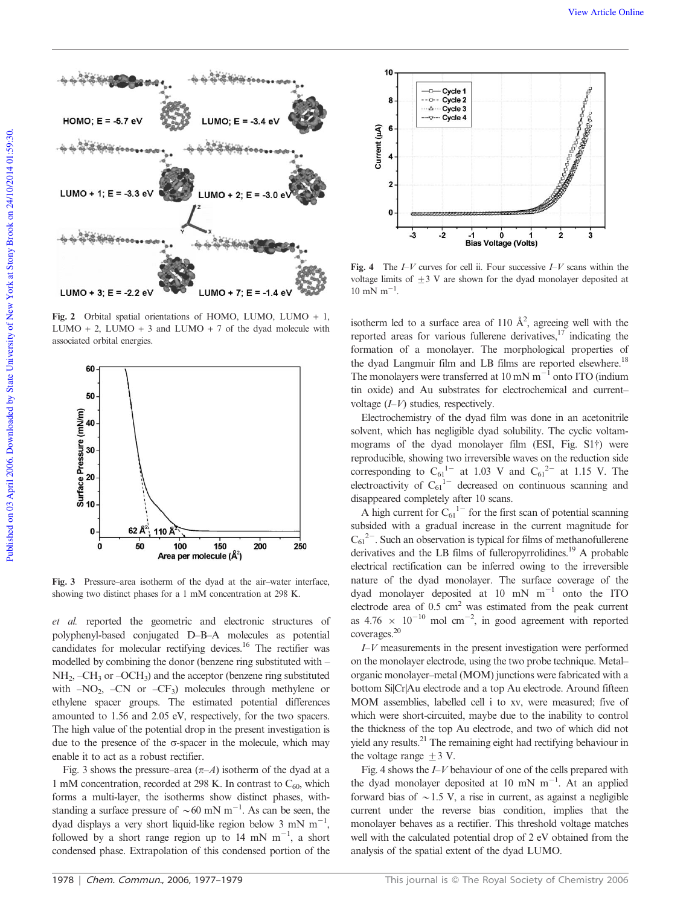

Fig. 2 Orbital spatial orientations of HOMO, LUMO, LUMO + 1, LUMO + 2, LUMO + 3 and LUMO + 7 of the dyad molecule with associated orbital energies.



Fig. 3 Pressure–area isotherm of the dyad at the air–water interface, showing two distinct phases for a 1 mM concentration at 298 K.

*et al.* reported the geometric and electronic structures of polyphenyl-based conjugated D–B–A molecules as potential candidates for molecular rectifying devices.<sup>16</sup> The rectifier was modelled by combining the donor (benzene ring substituted with –  $NH<sub>2</sub>$ , –CH<sub>3</sub> or –OCH<sub>3</sub>) and the acceptor (benzene ring substituted with  $-NO_2$ ,  $-CN$  or  $-CF_3$ ) molecules through methylene or ethylene spacer groups. The estimated potential differences amounted to 1.56 and 2.05 eV, respectively, for the two spacers. The high value of the potential drop in the present investigation is due to the presence of the  $\sigma$ -spacer in the molecule, which may enable it to act as a robust rectifier.

Fig. 3 shows the pressure–area  $(\pi - A)$  isotherm of the dyad at a 1 mM concentration, recorded at 298 K. In contrast to  $C_{60}$ , which forms a multi-layer, the isotherms show distinct phases, withstanding a surface pressure of  $\sim 60$  mN m<sup>-1</sup>. As can be seen, the dyad displays a very short liquid-like region below 3 mN  $m^{-1}$ , followed by a short range region up to 14 mN  $m^{-1}$ , a short condensed phase. Extrapolation of this condensed portion of the



Fig. 4 The *I*–*V* curves for cell ii. Four successive *I*–*V* scans within the voltage limits of  $\pm 3$  V are shown for the dyad monolayer deposited at  $10 \text{ mN m}^{-1}$ .

isotherm led to a surface area of 110  $\AA^2$ , agreeing well with the reported areas for various fullerene derivatives, $17$  indicating the formation of a monolayer. The morphological properties of the dyad Langmuir film and LB films are reported elsewhere.<sup>18</sup> The monolayers were transferred at  $10 \text{ mN m}^{-1}$  onto ITO (indium tin oxide) and Au substrates for electrochemical and current– voltage (*I*–*V*) studies, respectively.

Electrochemistry of the dyad film was done in an acetonitrile solvent, which has negligible dyad solubility. The cyclic voltammograms of the dyad monolayer film (ESI, Fig. S1<sup>†</sup>) were reproducible, showing two irreversible waves on the reduction side corresponding to  $C_{61}^{1-}$  at 1.03 V and  $C_{61}^{2-}$  at 1.15 V. The electroactivity of  $C_{61}$ <sup>1-</sup> decreased on continuous scanning and disappeared completely after 10 scans.

A high current for  $C_{61}$ <sup>1-</sup> for the first scan of potential scanning subsided with a gradual increase in the current magnitude for  $C_{61}^{2-}$ . Such an observation is typical for films of methanofullerene derivatives and the LB films of fulleropyrrolidines.<sup>19</sup> A probable electrical rectification can be inferred owing to the irreversible nature of the dyad monolayer. The surface coverage of the dyad monolayer deposited at  $10$  mN  $m^{-1}$  onto the ITO electrode area of  $0.5 \text{ cm}^2$  was estimated from the peak current as  $4.76 \times 10^{-10}$  mol cm<sup>-2</sup>, in good agreement with reported coverages.<sup>20</sup>

*I*–*V* measurements in the present investigation were performed on the monolayer electrode, using the two probe technique. Metal– organic monolayer–metal (MOM) junctions were fabricated with a bottom Si|Cr|Au electrode and a top Au electrode. Around fifteen MOM assemblies, labelled cell i to xv, were measured; five of which were short-circuited, maybe due to the inability to control the thickness of the top Au electrode, and two of which did not yield any results.<sup>21</sup> The remaining eight had rectifying behaviour in the voltage range  $\pm 3$  V.

Fig. 4 shows the *I*–*V* behaviour of one of the cells prepared with the dyad monolayer deposited at 10 mN  $m^{-1}$ . At an applied forward bias of  $\sim$  1.5 V, a rise in current, as against a negligible current under the reverse bias condition, implies that the monolayer behaves as a rectifier. This threshold voltage matches well with the calculated potential drop of 2 eV obtained from the analysis of the spatial extent of the dyad LUMO.